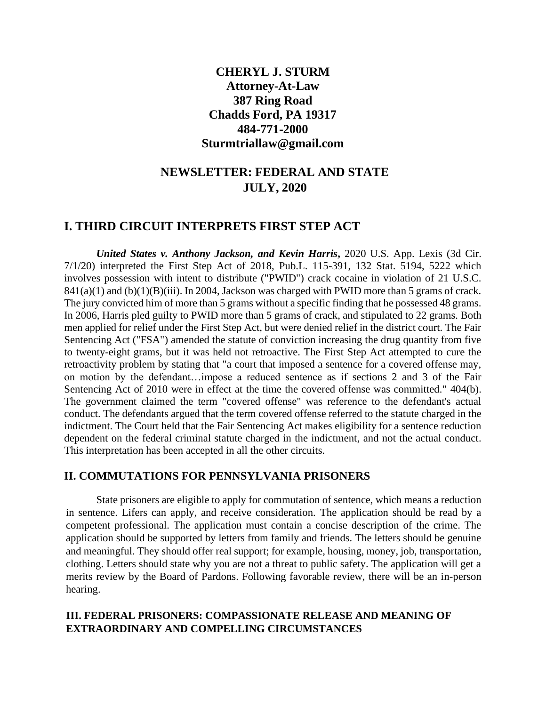## **CHERYL J. STURM Attorney-At-Law 387 Ring Road Chadds Ford, PA 19317 484-771-2000 Sturmtriallaw@gmail.com**

# **NEWSLETTER: FEDERAL AND STATE JULY, 2020**

### **I. THIRD CIRCUIT INTERPRETS FIRST STEP ACT**

*United States v. Anthony Jackson, and Kevin Harris***,** 2020 U.S. App. Lexis (3d Cir. 7/1/20) interpreted the First Step Act of 2018, Pub.L. 115-391, 132 Stat. 5194, 5222 which involves possession with intent to distribute ("PWID") crack cocaine in violation of 21 U.S.C.  $841(a)(1)$  and  $(b)(1)(B)(iii)$ . In 2004, Jackson was charged with PWID more than 5 grams of crack. The jury convicted him of more than 5 grams without a specific finding that he possessed 48 grams. In 2006, Harris pled guilty to PWID more than 5 grams of crack, and stipulated to 22 grams. Both men applied for relief under the First Step Act, but were denied relief in the district court. The Fair Sentencing Act ("FSA") amended the statute of conviction increasing the drug quantity from five to twenty-eight grams, but it was held not retroactive. The First Step Act attempted to cure the retroactivity problem by stating that "a court that imposed a sentence for a covered offense may, on motion by the defendant…impose a reduced sentence as if sections 2 and 3 of the Fair Sentencing Act of 2010 were in effect at the time the covered offense was committed." 404(b). The government claimed the term "covered offense" was reference to the defendant's actual conduct. The defendants argued that the term covered offense referred to the statute charged in the indictment. The Court held that the Fair Sentencing Act makes eligibility for a sentence reduction dependent on the federal criminal statute charged in the indictment, and not the actual conduct. This interpretation has been accepted in all the other circuits.

#### **II. COMMUTATIONS FOR PENNSYLVANIA PRISONERS**

State prisoners are eligible to apply for commutation of sentence, which means a reduction in sentence. Lifers can apply, and receive consideration. The application should be read by a competent professional. The application must contain a concise description of the crime. The application should be supported by letters from family and friends. The letters should be genuine and meaningful. They should offer real support; for example, housing, money, job, transportation, clothing. Letters should state why you are not a threat to public safety. The application will get a merits review by the Board of Pardons. Following favorable review, there will be an in-person hearing.

### **III. FEDERAL PRISONERS: COMPASSIONATE RELEASE AND MEANING OF EXTRAORDINARY AND COMPELLING CIRCUMSTANCES**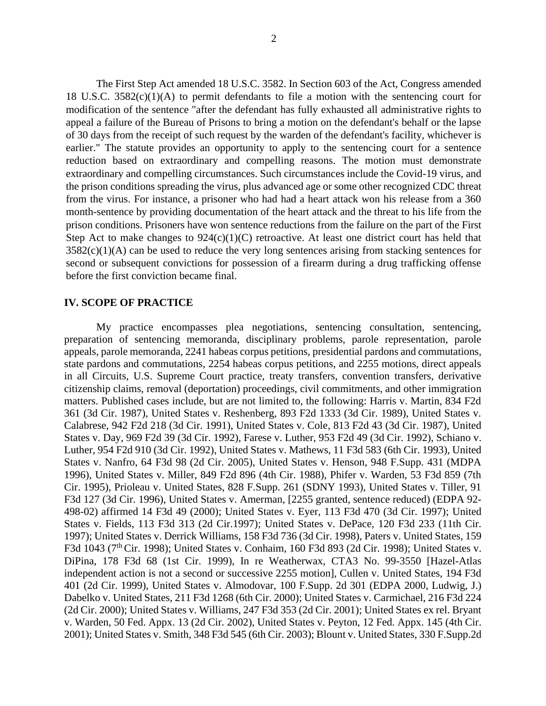The First Step Act amended 18 U.S.C. 3582. In Section 603 of the Act, Congress amended 18 U.S.C.  $3582(c)(1)(A)$  to permit defendants to file a motion with the sentencing court for modification of the sentence "after the defendant has fully exhausted all administrative rights to appeal a failure of the Bureau of Prisons to bring a motion on the defendant's behalf or the lapse of 30 days from the receipt of such request by the warden of the defendant's facility, whichever is earlier." The statute provides an opportunity to apply to the sentencing court for a sentence reduction based on extraordinary and compelling reasons. The motion must demonstrate extraordinary and compelling circumstances. Such circumstances include the Covid-19 virus, and the prison conditions spreading the virus, plus advanced age or some other recognized CDC threat from the virus. For instance, a prisoner who had had a heart attack won his release from a 360 month-sentence by providing documentation of the heart attack and the threat to his life from the prison conditions. Prisoners have won sentence reductions from the failure on the part of the First Step Act to make changes to  $924(c)(1)(C)$  retroactive. At least one district court has held that  $3582(c)(1)(A)$  can be used to reduce the very long sentences arising from stacking sentences for second or subsequent convictions for possession of a firearm during a drug trafficking offense before the first conviction became final.

#### **IV. SCOPE OF PRACTICE**

My practice encompasses plea negotiations, sentencing consultation, sentencing, preparation of sentencing memoranda, disciplinary problems, parole representation, parole appeals, parole memoranda, 2241 habeas corpus petitions, presidential pardons and commutations, state pardons and commutations, 2254 habeas corpus petitions, and 2255 motions, direct appeals in all Circuits, U.S. Supreme Court practice, treaty transfers, convention transfers, derivative citizenship claims, removal (deportation) proceedings, civil commitments, and other immigration matters. Published cases include, but are not limited to, the following: Harris v. Martin, 834 F2d 361 (3d Cir. 1987), United States v. Reshenberg, 893 F2d 1333 (3d Cir. 1989), United States v. Calabrese, 942 F2d 218 (3d Cir. 1991), United States v. Cole, 813 F2d 43 (3d Cir. 1987), United States v. Day, 969 F2d 39 (3d Cir. 1992), Farese v. Luther, 953 F2d 49 (3d Cir. 1992), Schiano v. Luther, 954 F2d 910 (3d Cir. 1992), United States v. Mathews, 11 F3d 583 (6th Cir. 1993), United States v. Nanfro, 64 F3d 98 (2d Cir. 2005), United States v. Henson, 948 F.Supp. 431 (MDPA 1996), United States v. Miller, 849 F2d 896 (4th Cir. 1988), Phifer v. Warden, 53 F3d 859 (7th Cir. 1995), Prioleau v. United States, 828 F.Supp. 261 (SDNY 1993), United States v. Tiller, 91 F3d 127 (3d Cir. 1996), United States v. Amerman, [2255 granted, sentence reduced) (EDPA 92- 498-02) affirmed 14 F3d 49 (2000); United States v. Eyer, 113 F3d 470 (3d Cir. 1997); United States v. Fields, 113 F3d 313 (2d Cir.1997); United States v. DePace, 120 F3d 233 (11th Cir. 1997); United States v. Derrick Williams, 158 F3d 736 (3d Cir. 1998), Paters v. United States, 159 F3d 1043 (7<sup>th</sup> Cir. 1998); United States v. Conhaim, 160 F3d 893 (2d Cir. 1998); United States v. DiPina, 178 F3d 68 (1st Cir. 1999), In re Weatherwax, CTA3 No. 99-3550 [Hazel-Atlas independent action is not a second or successive 2255 motion], Cullen v. United States, 194 F3d 401 (2d Cir. 1999), United States v. Almodovar, 100 F.Supp. 2d 301 (EDPA 2000, Ludwig, J.) Dabelko v. United States, 211 F3d 1268 (6th Cir. 2000); United States v. Carmichael, 216 F3d 224 (2d Cir. 2000); United States v. Williams, 247 F3d 353 (2d Cir. 2001); United States ex rel. Bryant v. Warden, 50 Fed. Appx. 13 (2d Cir. 2002), United States v. Peyton, 12 Fed. Appx. 145 (4th Cir. 2001); United States v. Smith, 348 F3d 545 (6th Cir. 2003); Blount v. United States, 330 F.Supp.2d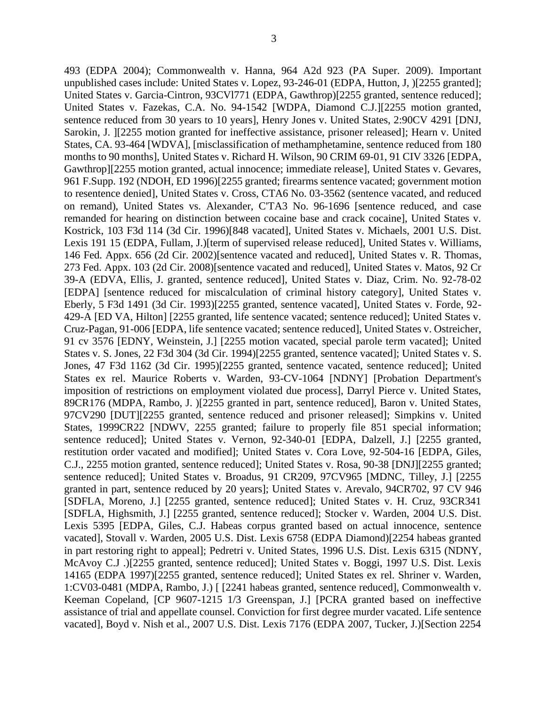493 (EDPA 2004); Commonwealth v. Hanna, 964 A2d 923 (PA Super. 2009). Important unpublished cases include: United States v. Lopez, 93-246-01 (EDPA, Hutton, J, )[2255 granted];

United States v. Garcia-Cintron, 93CVl771 (EDPA, Gawthrop)[2255 granted, sentence reduced]; United States v. Fazekas, C.A. No. 94-1542 [WDPA, Diamond C.J.][2255 motion granted, sentence reduced from 30 years to 10 years], Henry Jones v. United States, 2:90CV 4291 [DNJ, Sarokin, J. ][2255 motion granted for ineffective assistance, prisoner released]; Hearn v. United States, CA. 93-464 [WDVA], [misclassification of methamphetamine, sentence reduced from 180 months to 90 months], United States v. Richard H. Wilson, 90 CRIM 69-01, 91 CIV 3326 [EDPA, Gawthrop][2255 motion granted, actual innocence; immediate release], United States v. Gevares, 961 F.Supp. 192 (NDOH, ED 1996)[2255 granted; firearms sentence vacated; government motion to resentence denied], United States v. Cross, CTA6 No. 03-3562 (sentence vacated, and reduced on remand), United States vs. Alexander, C'TA3 No. 96-1696 [sentence reduced, and case remanded for hearing on distinction between cocaine base and crack cocaine], United States v. Kostrick, 103 F3d 114 (3d Cir. 1996)[848 vacated], United States v. Michaels, 2001 U.S. Dist. Lexis 191 15 (EDPA, Fullam, J.)[term of supervised release reduced], United States v. Williams, 146 Fed. Appx. 656 (2d Cir. 2002)[sentence vacated and reduced], United States v. R. Thomas, 273 Fed. Appx. 103 (2d Cir. 2008)[sentence vacated and reduced], United States v. Matos, 92 Cr 39-A (EDVA, Ellis, J. granted, sentence reduced], United States v. Diaz, Crim. No. 92-78-02 [EDPA] [sentence reduced for miscalculation of criminal history category], United States v. Eberly, 5 F3d 1491 (3d Cir. 1993)[2255 granted, sentence vacated], United States v. Forde, 92- 429-A [ED VA, Hilton] [2255 granted, life sentence vacated; sentence reduced]; United States v. Cruz-Pagan, 91-006 [EDPA, life sentence vacated; sentence reduced], United States v. Ostreicher, 91 cv 3576 [EDNY, Weinstein, J.] [2255 motion vacated, special parole term vacated]; United States v. S. Jones, 22 F3d 304 (3d Cir. 1994)[2255 granted, sentence vacated]; United States v. S. Jones, 47 F3d 1162 (3d Cir. 1995)[2255 granted, sentence vacated, sentence reduced]; United States ex rel. Maurice Roberts v. Warden, 93-CV-1064 [NDNY] [Probation Department's imposition of restrictions on employment violated due process], Darryl Pierce v. United States, 89CR176 (MDPA, Rambo, J. )[2255 granted in part, sentence reduced], Baron v. United States, 97CV290 [DUT][2255 granted, sentence reduced and prisoner released]; Simpkins v. United States, 1999CR22 [NDWV, 2255 granted; failure to properly file 851 special information; sentence reduced]; United States v. Vernon, 92-340-01 [EDPA, Dalzell, J.] [2255 granted, restitution order vacated and modified]; United States v. Cora Love, 92-504-16 [EDPA, Giles, C.J., 2255 motion granted, sentence reduced]; United States v. Rosa, 90-38 [DNJ][2255 granted; sentence reduced]; United States v. Broadus, 91 CR209, 97CV965 [MDNC, Tilley, J.] [2255] granted in part, sentence reduced by 20 years]; United States v. Arevalo, 94CR702, 97 CV 946 [SDFLA, Moreno, J.] [2255 granted, sentence reduced]; United States v. H. Cruz, 93CR341 [SDFLA, Highsmith, J.] [2255 granted, sentence reduced]; Stocker v. Warden, 2004 U.S. Dist. Lexis 5395 [EDPA, Giles, C.J. Habeas corpus granted based on actual innocence, sentence vacated], Stovall v. Warden, 2005 U.S. Dist. Lexis 6758 (EDPA Diamond)[2254 habeas granted in part restoring right to appeal]; Pedretri v. United States, 1996 U.S. Dist. Lexis 6315 (NDNY, McAvoy C.J .)[2255 granted, sentence reduced]; United States v. Boggi, 1997 U.S. Dist. Lexis 14165 (EDPA 1997)[2255 granted, sentence reduced]; United States ex rel. Shriner v. Warden, 1:CV03-0481 (MDPA, Rambo, J.) [ [2241 habeas granted, sentence reduced], Commonwealth v. Keeman Copeland, [CP 9607-1215 1/3 Greenspan, J.] [PCRA granted based on ineffective assistance of trial and appellate counsel. Conviction for first degree murder vacated. Life sentence vacated], Boyd v. Nish et al., 2007 U.S. Dist. Lexis 7176 (EDPA 2007, Tucker, J.)[Section 2254